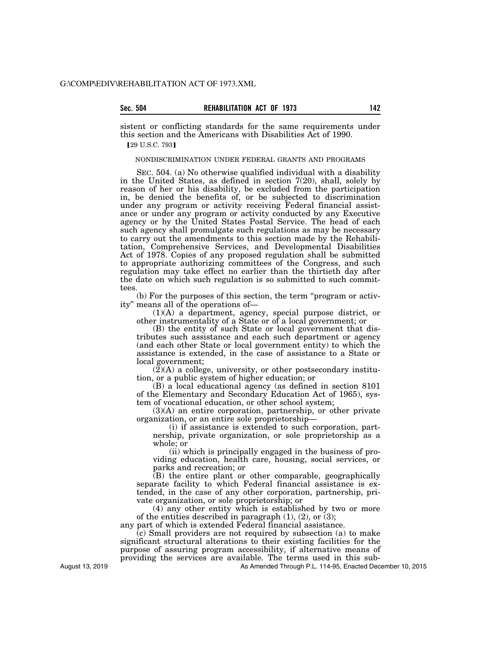sistent or conflicting standards for the same requirements under this section and the Americans with Disabilities Act of 1990. **[29 U.S.C. 793]** 

## NONDISCRIMINATION UNDER FEDERAL GRANTS AND PROGRAMS

SEC. 504. (a) No otherwise qualified individual with a disability in the United States, as defined in section 7(20), shall, solely by reason of her or his disability, be excluded from the participation in, be denied the benefits of, or be subjected to discrimination under any program or activity receiving Federal financial assistance or under any program or activity conducted by any Executive agency or by the United States Postal Service. The head of each such agency shall promulgate such regulations as may be necessary to carry out the amendments to this section made by the Rehabilitation, Comprehensive Services, and Developmental Disabilities Act of 1978. Copies of any proposed regulation shall be submitted to appropriate authorizing committees of the Congress, and such regulation may take effect no earlier than the thirtieth day after the date on which such regulation is so submitted to such committees.

(b) For the purposes of this section, the term ''program or activity'' means all of the operations of—

(1)(A) a department, agency, special purpose district, or other instrumentality of a State or of a local government; or

(B) the entity of such State or local government that distributes such assistance and each such department or agency (and each other State or local government entity) to which the assistance is extended, in the case of assistance to a State or local government;

 $(2)(A)$  a college, university, or other postsecondary institution, or a public system of higher education; or

(B) a local educational agency (as defined in section 8101 of the Elementary and Secondary Education Act of 1965), system of vocational education, or other school system;

(3)(A) an entire corporation, partnership, or other private organization, or an entire sole proprietorship—

(i) if assistance is extended to such corporation, partnership, private organization, or sole proprietorship as a whole; or

(ii) which is principally engaged in the business of providing education, health care, housing, social services, or parks and recreation; or

(B) the entire plant or other comparable, geographically separate facility to which Federal financial assistance is extended, in the case of any other corporation, partnership, private organization, or sole proprietorship; or

(4) any other entity which is established by two or more of the entities described in paragraph  $(1)$ ,  $(2)$ , or  $(3)$ ;

any part of which is extended Federal financial assistance. (c) Small providers are not required by subsection (a) to make significant structural alterations to their existing facilities for the purpose of assuring program accessibility, if alternative means of providing the services are available. The terms used in this sub-

As Amended Through P.L. 114-95, Enacted December 10, 2015

August 13, 2019